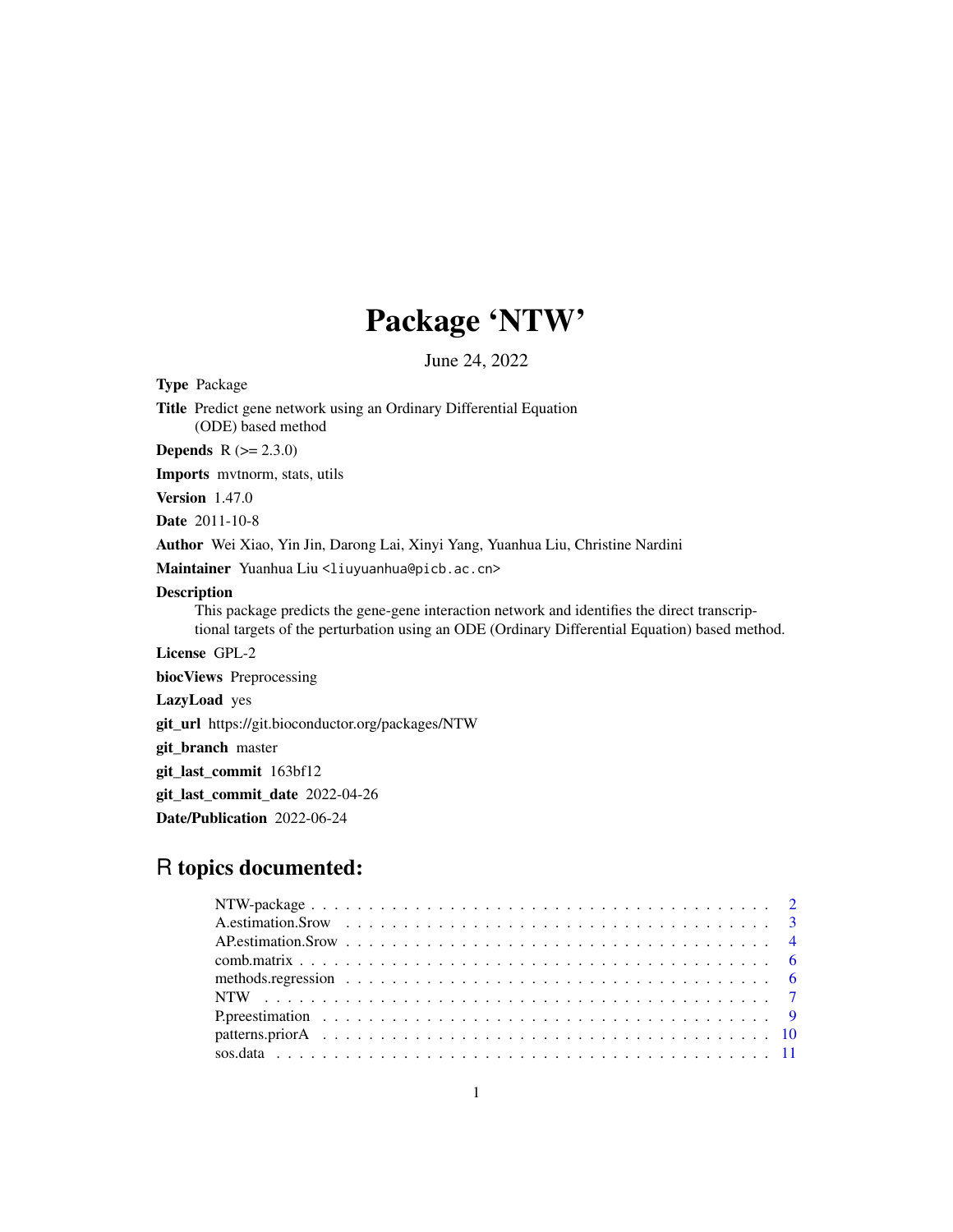## Package 'NTW'

June 24, 2022

Type Package

Title Predict gene network using an Ordinary Differential Equation (ODE) based method

**Depends**  $R (= 2.3.0)$ 

Imports mvtnorm, stats, utils

Version 1.47.0

Date 2011-10-8

Author Wei Xiao, Yin Jin, Darong Lai, Xinyi Yang, Yuanhua Liu, Christine Nardini

Maintainer Yuanhua Liu <liuyuanhua@picb.ac.cn>

#### Description

This package predicts the gene-gene interaction network and identifies the direct transcriptional targets of the perturbation using an ODE (Ordinary Differential Equation) based method.

License GPL-2

biocViews Preprocessing

LazyLoad yes

git\_url https://git.bioconductor.org/packages/NTW

git\_branch master

git\_last\_commit 163bf12

git\_last\_commit\_date 2022-04-26

Date/Publication 2022-06-24

### R topics documented: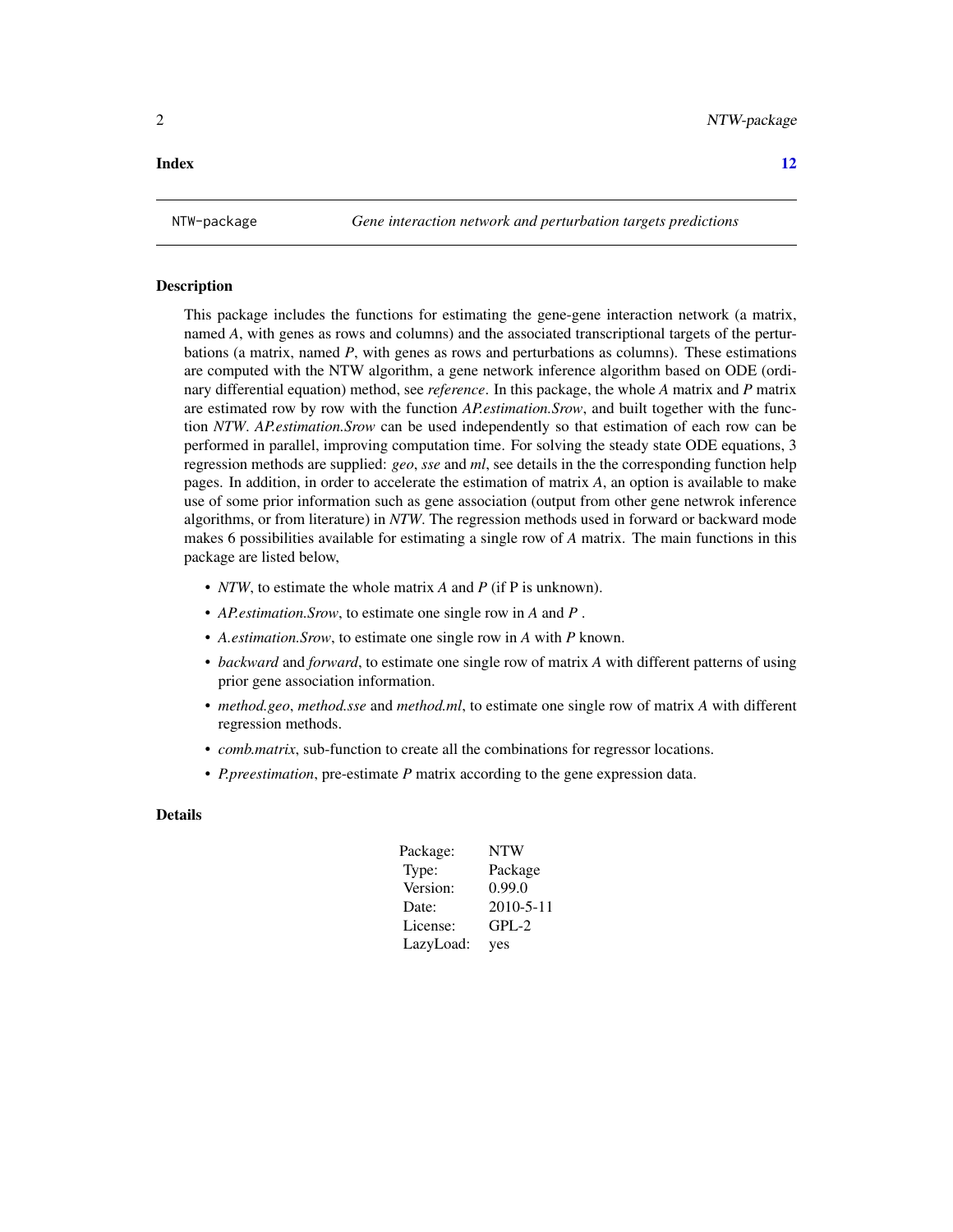#### <span id="page-1-0"></span>**Index** [12](#page-11-0)

#### Description

This package includes the functions for estimating the gene-gene interaction network (a matrix, named *A*, with genes as rows and columns) and the associated transcriptional targets of the perturbations (a matrix, named *P*, with genes as rows and perturbations as columns). These estimations are computed with the NTW algorithm, a gene network inference algorithm based on ODE (ordinary differential equation) method, see *reference*. In this package, the whole *A* matrix and *P* matrix are estimated row by row with the function *AP.estimation.Srow*, and built together with the function *NTW*. *AP.estimation.Srow* can be used independently so that estimation of each row can be performed in parallel, improving computation time. For solving the steady state ODE equations, 3 regression methods are supplied: *geo*, *sse* and *ml*, see details in the the corresponding function help pages. In addition, in order to accelerate the estimation of matrix *A*, an option is available to make use of some prior information such as gene association (output from other gene netwrok inference algorithms, or from literature) in *NTW*. The regression methods used in forward or backward mode makes 6 possibilities available for estimating a single row of *A* matrix. The main functions in this package are listed below,

- *NTW*, to estimate the whole matrix *A* and *P* (if P is unknown).
- *AP.estimation.Srow*, to estimate one single row in *A* and *P* .
- *A.estimation.Srow*, to estimate one single row in *A* with *P* known.
- *backward* and *forward*, to estimate one single row of matrix *A* with different patterns of using prior gene association information.
- *method.geo*, *method.sse* and *method.ml*, to estimate one single row of matrix *A* with different regression methods.
- *comb.matrix*, sub-function to create all the combinations for regressor locations.
- *P.preestimation*, pre-estimate *P* matrix according to the gene expression data.

#### Details

| Package:  | <b>NTW</b> |
|-----------|------------|
| Type:     | Package    |
| Version:  | 0.99.0     |
| Date:     | 2010-5-11  |
| License:  | GPL-2      |
| LazyLoad: | ves        |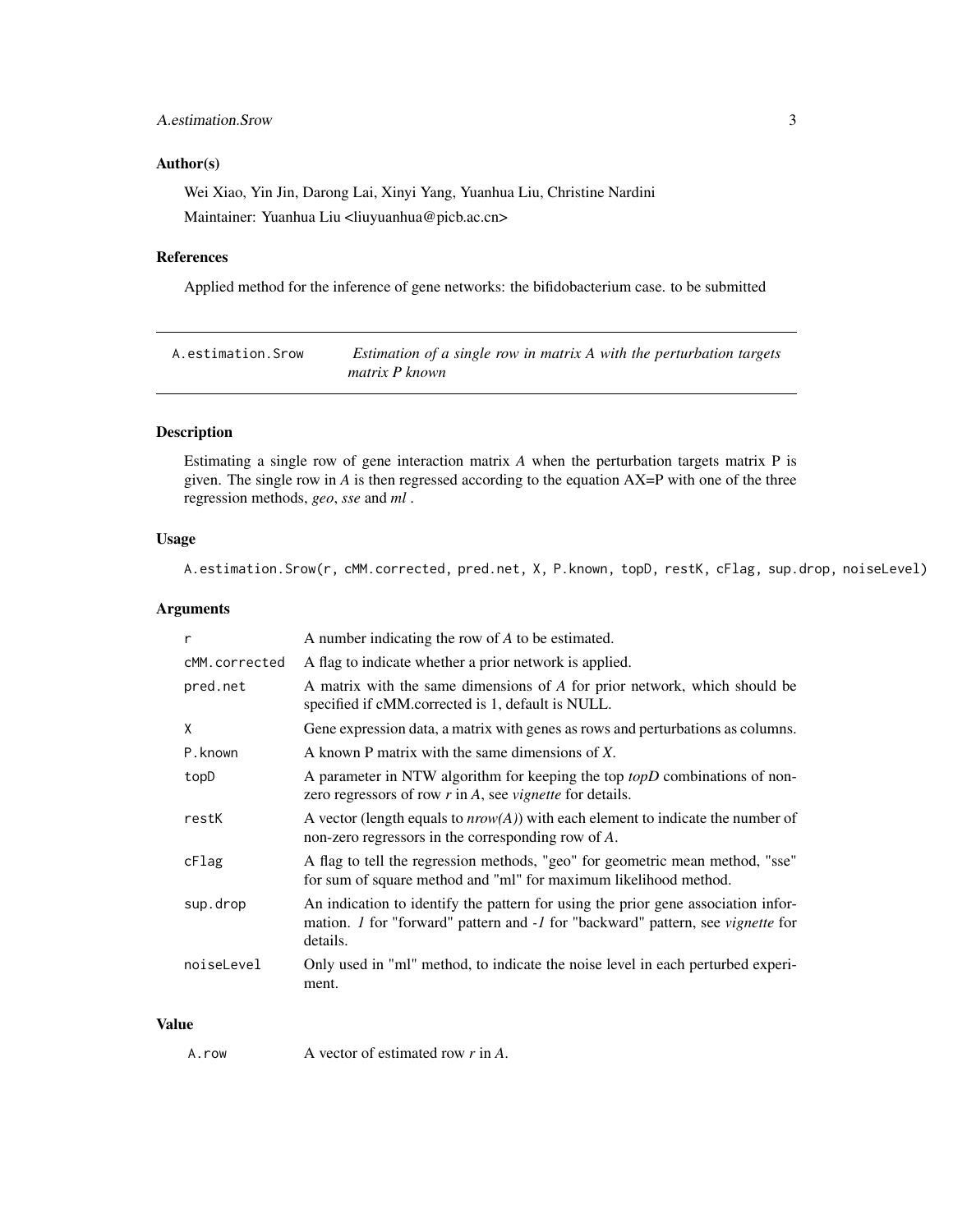#### <span id="page-2-0"></span>A.estimation.Srow 3

#### Author(s)

Wei Xiao, Yin Jin, Darong Lai, Xinyi Yang, Yuanhua Liu, Christine Nardini Maintainer: Yuanhua Liu <liuyuanhua@picb.ac.cn>

#### References

Applied method for the inference of gene networks: the bifidobacterium case. to be submitted

| A.estimation.Srow | Estimation of a single row in matrix A with the perturbation targets |
|-------------------|----------------------------------------------------------------------|
|                   | matrix P known                                                       |

#### Description

Estimating a single row of gene interaction matrix *A* when the perturbation targets matrix P is given. The single row in *A* is then regressed according to the equation AX=P with one of the three regression methods, *geo*, *sse* and *ml* .

#### Usage

A.estimation.Srow(r, cMM.corrected, pred.net, X, P.known, topD, restK, cFlag, sup.drop, noiseLevel)

#### Arguments

| r             | A number indicating the row of A to be estimated.                                                                                                                                              |
|---------------|------------------------------------------------------------------------------------------------------------------------------------------------------------------------------------------------|
| cMM.corrected | A flag to indicate whether a prior network is applied.                                                                                                                                         |
| pred.net      | A matrix with the same dimensions of A for prior network, which should be<br>specified if cMM.corrected is 1, default is NULL.                                                                 |
| X             | Gene expression data, a matrix with genes as rows and perturbations as columns.                                                                                                                |
| P.known       | A known P matrix with the same dimensions of $X$ .                                                                                                                                             |
| topD          | A parameter in NTW algorithm for keeping the top topD combinations of non-<br>zero regressors of row $r$ in $A$ , see <i>vignette</i> for details.                                             |
| restK         | A vector (length equals to $nrow(A)$ ) with each element to indicate the number of<br>non-zero regressors in the corresponding row of $A$ .                                                    |
| cFlag         | A flag to tell the regression methods, "geo" for geometric mean method, "sse"<br>for sum of square method and "ml" for maximum likelihood method.                                              |
| sup.drop      | An indication to identify the pattern for using the prior gene association infor-<br>mation. <i>1</i> for "forward" pattern and -1 for "backward" pattern, see <i>vignette</i> for<br>details. |
| noiseLevel    | Only used in "ml" method, to indicate the noise level in each perturbed experi-<br>ment.                                                                                                       |

#### Value

A.row A vector of estimated row *r* in *A*.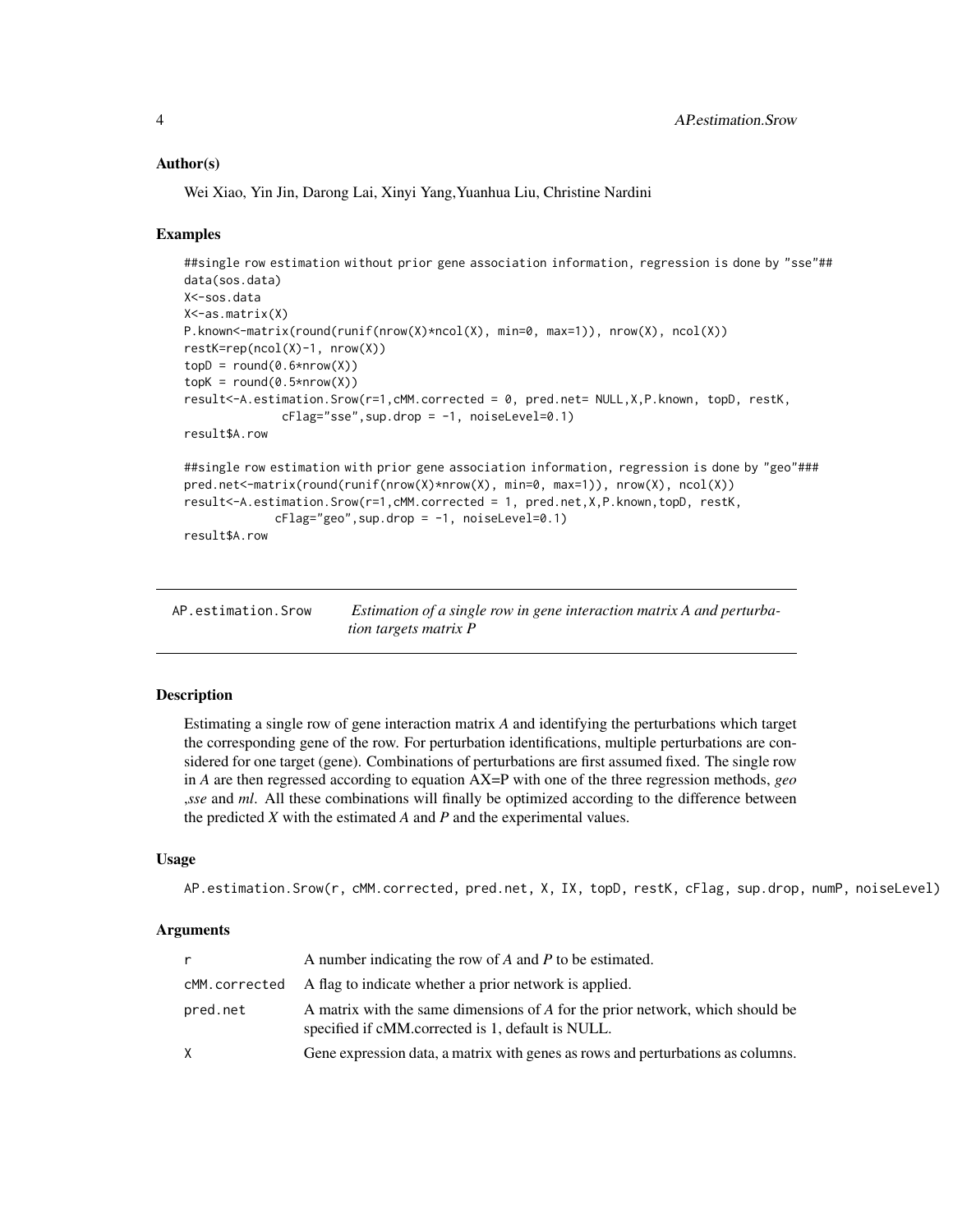#### Author(s)

Wei Xiao, Yin Jin, Darong Lai, Xinyi Yang,Yuanhua Liu, Christine Nardini

#### Examples

```
##single row estimation without prior gene association information, regression is done by "sse"##
data(sos.data)
X<-sos.data
X<-as.matrix(X)
P.known<-matrix(round(runif(nrow(X)*ncol(X), min=0, max=1)), nrow(X), ncol(X))
restK=rep(ncol(X)-1, nrow(X))
topD = round(0.6*nrow(X))topK = round(0.5*nrow(X))result<-A.estimation.Srow(r=1,cMM.corrected = 0, pred.net= NULL,X,P.known, topD, restK,
              cflag="sse", sup.drop = -1, noiseLevel=0.1)result$A.row
##single row estimation with prior gene association information, regression is done by "geo"###
pred.net<-matrix(round(runif(nrow(X)*nrow(X), min=0, max=1)), nrow(X), ncol(X))
result<-A.estimation.Srow(r=1,cMM.corrected = 1, pred.net,X,P.known,topD, restK,
             cflag="geo", sup.drop = -1, noiseLevel=0.1)result$A.row
```

| AP.estimation.Srow | Estimation of a single row in gene interaction matrix A and perturba- |
|--------------------|-----------------------------------------------------------------------|
|                    | <i>tion targets matrix P</i>                                          |

#### Description

Estimating a single row of gene interaction matrix *A* and identifying the perturbations which target the corresponding gene of the row. For perturbation identifications, multiple perturbations are considered for one target (gene). Combinations of perturbations are first assumed fixed. The single row in *A* are then regressed according to equation AX=P with one of the three regression methods, *geo* ,*sse* and *ml*. All these combinations will finally be optimized according to the difference between the predicted *X* with the estimated *A* and *P* and the experimental values.

#### Usage

```
AP.estimation.Srow(r, cMM.corrected, pred.net, X, IX, topD, restK, cFlag, sup.drop, numP, noiseLevel)
```
#### Arguments

|          | A number indicating the row of A and P to be estimated.                                                                            |
|----------|------------------------------------------------------------------------------------------------------------------------------------|
|          | $c$ MM. corrected $\quad$ A flag to indicate whether a prior network is applied.                                                   |
| pred.net | A matrix with the same dimensions of A for the prior network, which should be<br>specified if cMM.corrected is 1, default is NULL. |
| X.       | Gene expression data, a matrix with genes as rows and perturbations as columns.                                                    |

<span id="page-3-0"></span>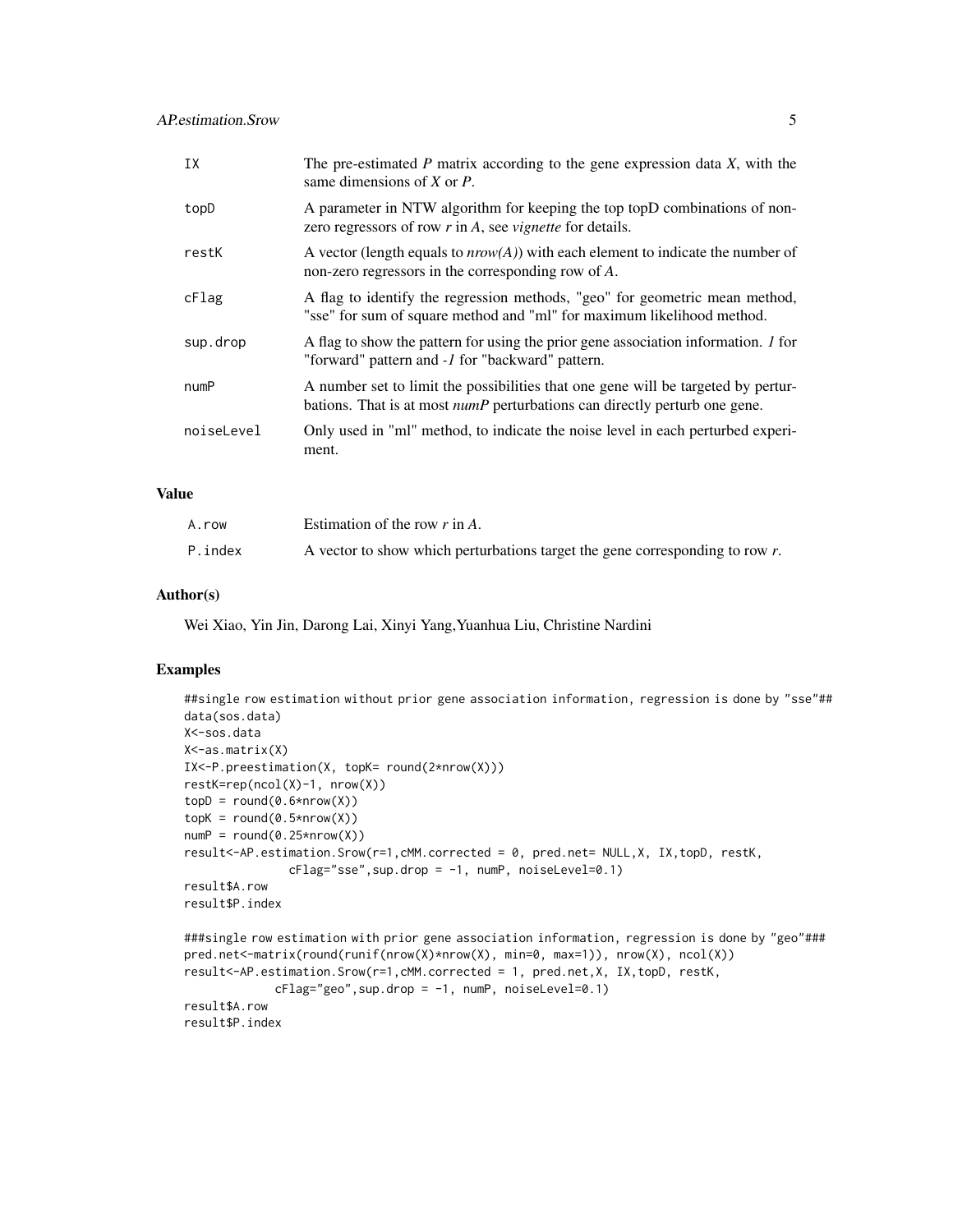| IX         | The pre-estimated $P$ matrix according to the gene expression data $X$ , with the<br>same dimensions of $X$ or $P$ .                                                   |
|------------|------------------------------------------------------------------------------------------------------------------------------------------------------------------------|
| topD       | A parameter in NTW algorithm for keeping the top topD combinations of non-<br>zero regressors of row $r$ in $A$ , see <i>vignette</i> for details.                     |
| restK      | A vector (length equals to $nrow(A)$ ) with each element to indicate the number of<br>non-zero regressors in the corresponding row of A.                               |
| cFlag      | A flag to identify the regression methods, "geo" for geometric mean method,<br>"sse" for sum of square method and "ml" for maximum likelihood method.                  |
| sup.drop   | A flag to show the pattern for using the prior gene association information. <i>I</i> for<br>"forward" pattern and -1 for "backward" pattern.                          |
| numP       | A number set to limit the possibilities that one gene will be targeted by pertur-<br>bations. That is at most <i>numP</i> perturbations can directly perturb one gene. |
| noiseLevel | Only used in "ml" method, to indicate the noise level in each perturbed experi-<br>ment.                                                                               |

#### Value

| A.row   | Estimation of the row $r$ in A.                                                 |
|---------|---------------------------------------------------------------------------------|
| P.index | A vector to show which perturbations target the gene corresponding to row $r$ . |

#### Author(s)

Wei Xiao, Yin Jin, Darong Lai, Xinyi Yang,Yuanhua Liu, Christine Nardini

#### Examples

result\$P.index

```
##single row estimation without prior gene association information, regression is done by "sse"##
data(sos.data)
X<-sos.data
X<-as.matrix(X)
IX<-P.preestimation(X, topK= round(2*nrow(X)))
restK=rep(ncol(X)-1, nrow(X))
topD = round(0.6*nrow(X))topK = round(0.5*nrow(X))numP = round(0.25*nrow(X))result<-AP.estimation.Srow(r=1,cMM.corrected = 0, pred.net= NULL,X, IX,topD, restK,
               cFlag="sse", sup.drop = -1, numP, noiseLevel=0.1)result$A.row
result$P.index
###single row estimation with prior gene association information, regression is done by "geo"###
pred.net<-matrix(round(runif(nrow(X)*nrow(X), min=0, max=1)), nrow(X), ncol(X))
result<-AP.estimation.Srow(r=1,cMM.corrected = 1, pred.net,X, IX,topD, restK,
             cflag="geo", sup.drop = -1, numP, noiseLevel=0.1)result$A.row
```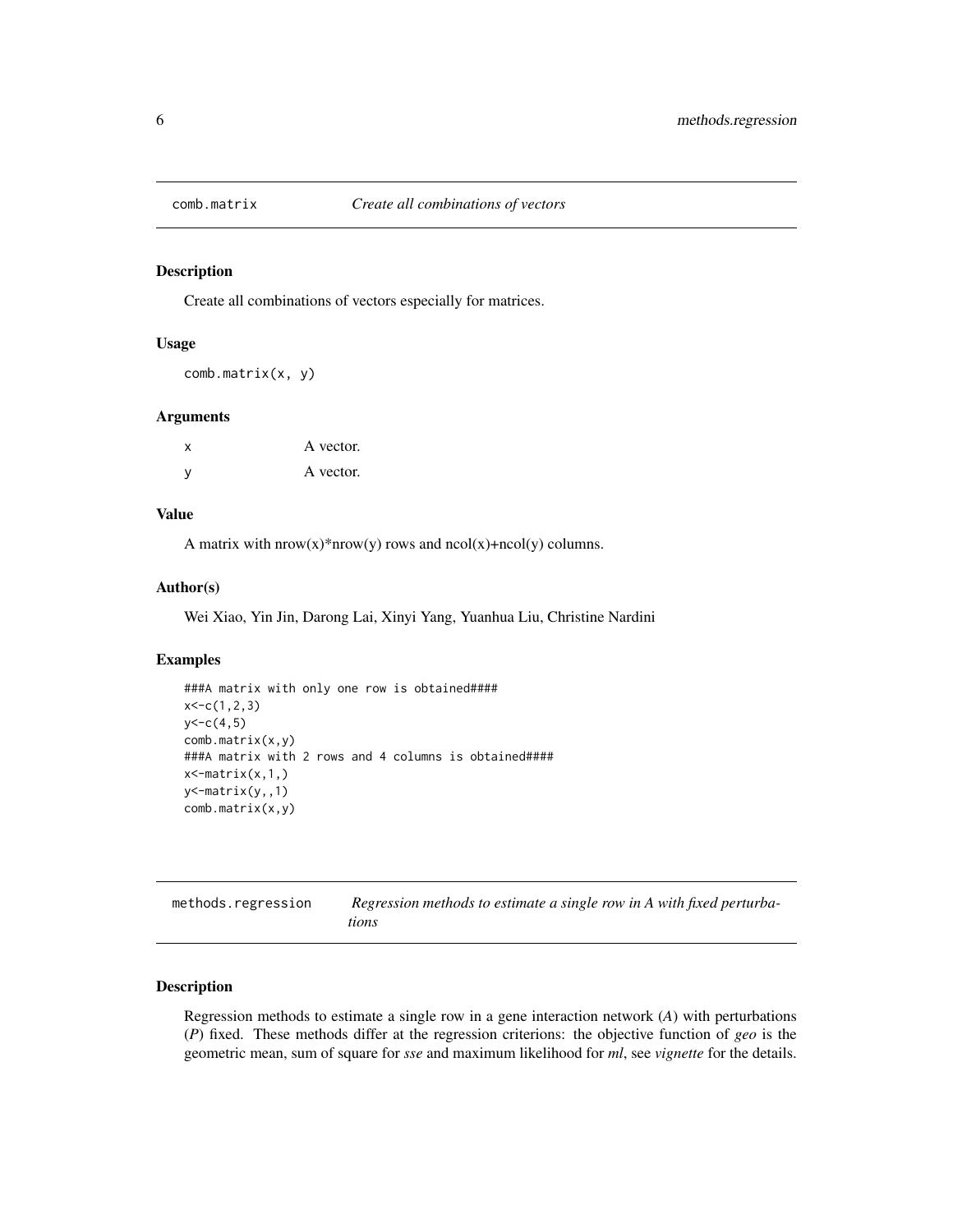<span id="page-5-0"></span>

#### Description

Create all combinations of vectors especially for matrices.

#### Usage

comb.matrix(x, y)

#### Arguments

| $\mathsf{x}$ | A vector. |
|--------------|-----------|
| - V          | A vector. |

#### Value

A matrix with  $now(x)*now(y) rows and  $ncol(x)+ncol(y)$  columns.$ 

#### Author(s)

Wei Xiao, Yin Jin, Darong Lai, Xinyi Yang, Yuanhua Liu, Christine Nardini

#### Examples

```
###A matrix with only one row is obtained####
x < -c(1, 2, 3)y < -c(4,5)comb.matrix(x,y)
###A matrix with 2 rows and 4 columns is obtained####
x \leftarrow matrix(x, 1,)
y<-matrix(y,,1)
comb.matrix(x,y)
```

| methods.regression | Regression methods to estimate a single row in A with fixed perturba- |
|--------------------|-----------------------------------------------------------------------|
|                    | tions                                                                 |

#### Description

Regression methods to estimate a single row in a gene interaction network (*A*) with perturbations (*P*) fixed. These methods differ at the regression criterions: the objective function of *geo* is the geometric mean, sum of square for *sse* and maximum likelihood for *ml*, see *vignette* for the details.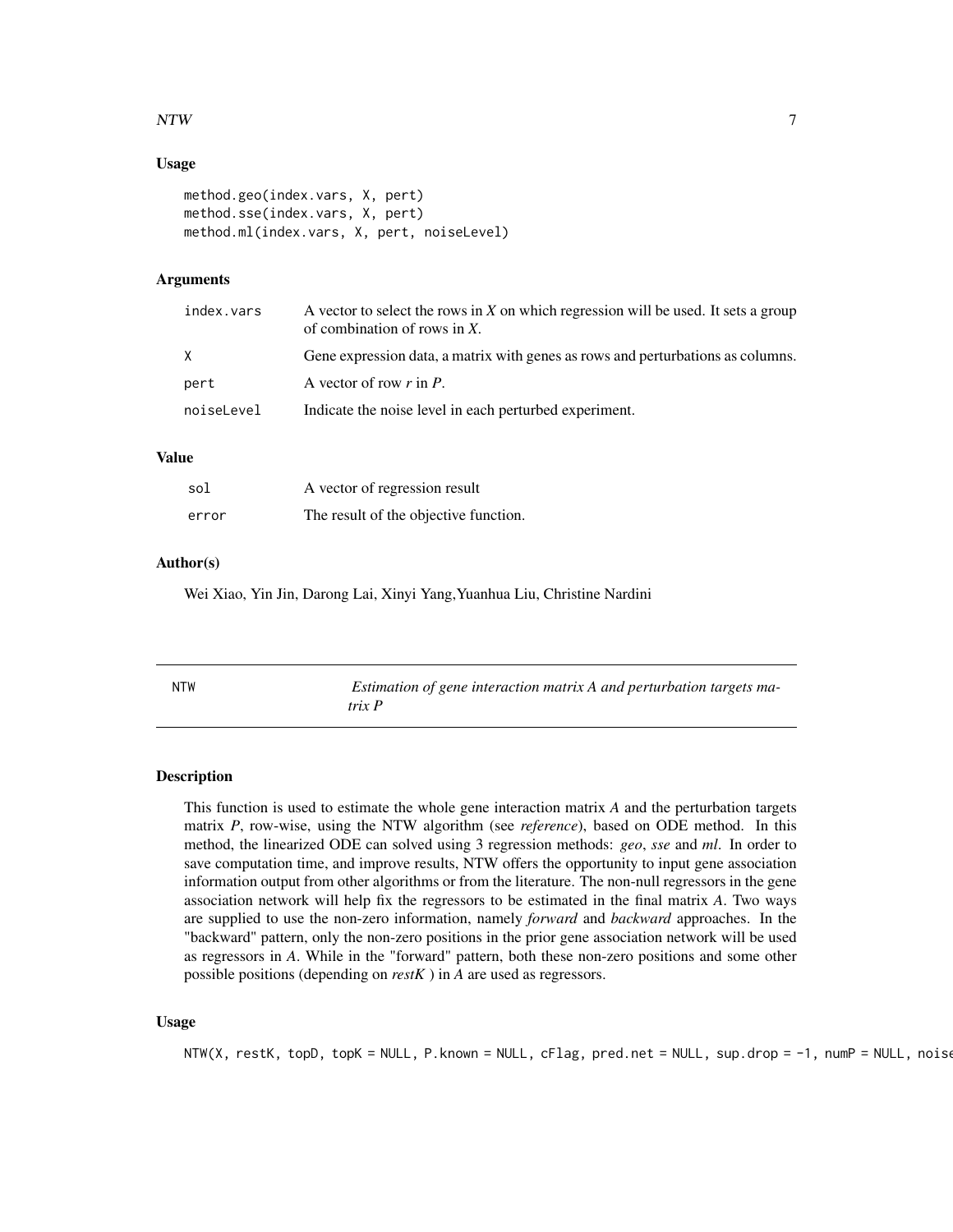#### <span id="page-6-0"></span> $\bm{N}$

#### Usage

```
method.geo(index.vars, X, pert)
method.sse(index.vars, X, pert)
method.ml(index.vars, X, pert, noiseLevel)
```
#### Arguments

| index.vars | A vector to select the rows in $X$ on which regression will be used. It sets a group<br>of combination of rows in $X$ . |
|------------|-------------------------------------------------------------------------------------------------------------------------|
| X          | Gene expression data, a matrix with genes as rows and perturbations as columns.                                         |
| pert       | A vector of row $r$ in $P$ .                                                                                            |
| noiseLevel | Indicate the noise level in each perturbed experiment.                                                                  |
|            |                                                                                                                         |

#### Value

| sol   | A vector of regression result         |
|-------|---------------------------------------|
| error | The result of the objective function. |

#### Author(s)

Wei Xiao, Yin Jin, Darong Lai, Xinyi Yang,Yuanhua Liu, Christine Nardini

| <b>NTW</b> | Estimation of gene interaction matrix A and perturbation targets ma- |
|------------|----------------------------------------------------------------------|
|            | trix P                                                               |

#### Description

This function is used to estimate the whole gene interaction matrix *A* and the perturbation targets matrix *P*, row-wise, using the NTW algorithm (see *reference*), based on ODE method. In this method, the linearized ODE can solved using 3 regression methods: *geo*, *sse* and *ml*. In order to save computation time, and improve results, NTW offers the opportunity to input gene association information output from other algorithms or from the literature. The non-null regressors in the gene association network will help fix the regressors to be estimated in the final matrix *A*. Two ways are supplied to use the non-zero information, namely *forward* and *backward* approaches. In the "backward" pattern, only the non-zero positions in the prior gene association network will be used as regressors in *A*. While in the "forward" pattern, both these non-zero positions and some other possible positions (depending on *restK* ) in *A* are used as regressors.

#### Usage

NTW(X, restK, topD, topK = NULL, P.known = NULL, cFlag, pred.net = NULL, sup.drop =  $-1$ , numP = NULL, noise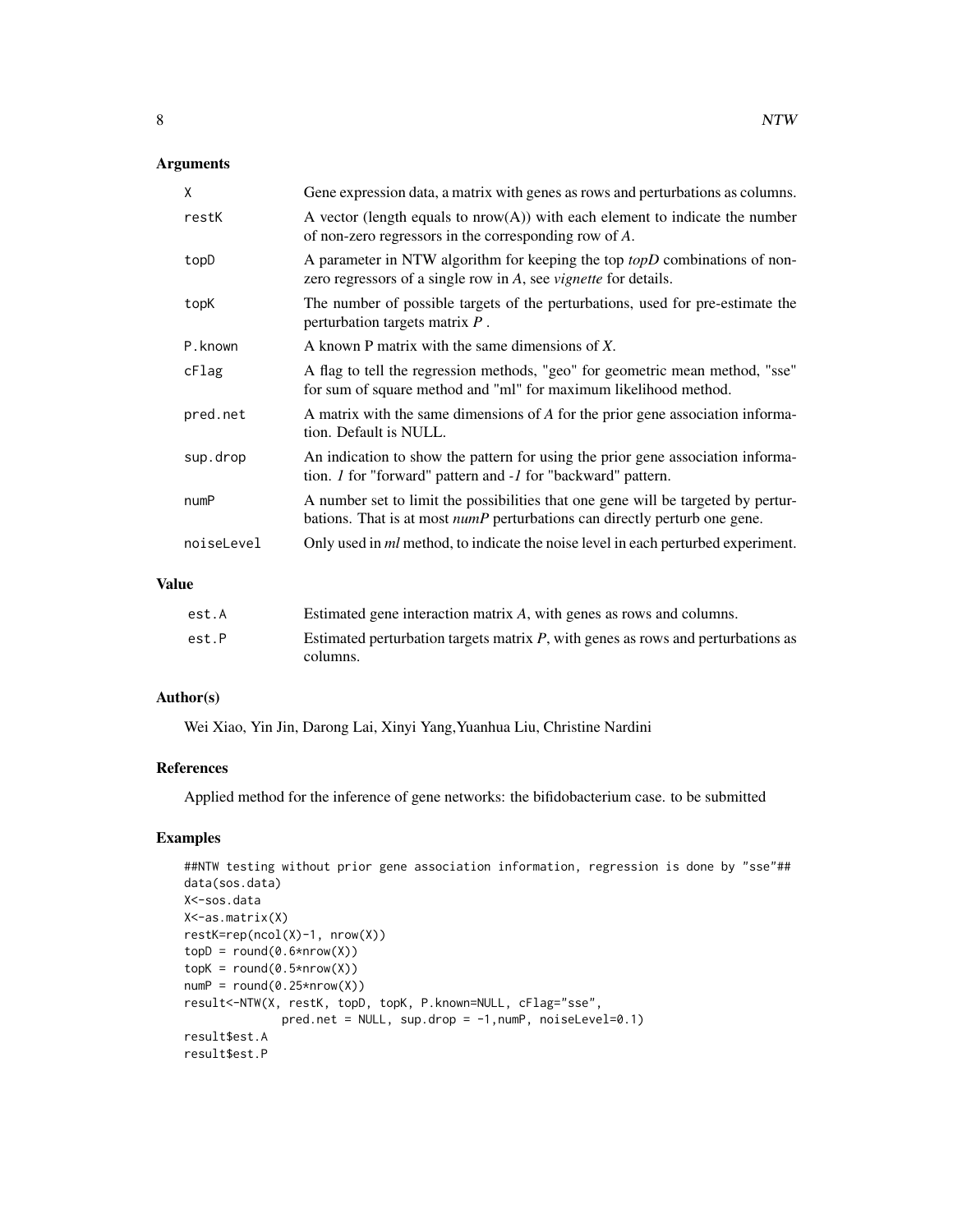#### Arguments

| X          | Gene expression data, a matrix with genes as rows and perturbations as columns.                                                                                        |
|------------|------------------------------------------------------------------------------------------------------------------------------------------------------------------------|
| restK      | A vector (length equals to $nrow(A)$ ) with each element to indicate the number<br>of non-zero regressors in the corresponding row of $A$ .                            |
| topD       | A parameter in NTW algorithm for keeping the top topD combinations of non-<br>zero regressors of a single row in A, see <i>vignette</i> for details.                   |
| topK       | The number of possible targets of the perturbations, used for pre-estimate the<br>perturbation targets matrix $P$ .                                                    |
| P.known    | A known P matrix with the same dimensions of X.                                                                                                                        |
| cFlag      | A flag to tell the regression methods, "geo" for geometric mean method, "sse"<br>for sum of square method and "ml" for maximum likelihood method.                      |
| pred.net   | A matrix with the same dimensions of A for the prior gene association informa-<br>tion. Default is NULL.                                                               |
| sup.drop   | An indication to show the pattern for using the prior gene association informa-<br>tion. <i>I</i> for "forward" pattern and <i>-1</i> for "backward" pattern.          |
| numP       | A number set to limit the possibilities that one gene will be targeted by pertur-<br>bations. That is at most <i>numP</i> perturbations can directly perturb one gene. |
| noiseLevel | Only used in <i>ml</i> method, to indicate the noise level in each perturbed experiment.                                                                               |

#### Value

| est.A | Estimated gene interaction matrix A, with genes as rows and columns.                |
|-------|-------------------------------------------------------------------------------------|
| est.P | Estimated perturbation targets matrix $P$ , with genes as rows and perturbations as |
|       | columns.                                                                            |

#### Author(s)

Wei Xiao, Yin Jin, Darong Lai, Xinyi Yang,Yuanhua Liu, Christine Nardini

#### References

Applied method for the inference of gene networks: the bifidobacterium case. to be submitted

#### Examples

```
##NTW testing without prior gene association information, regression is done by "sse"##
data(sos.data)
X<-sos.data
X<-as.matrix(X)
restK=rep(ncol(X)-1, nrow(X))
topD = round(0.6*nrow(X))topK = round(0.5*nrow(X))numP = round(0.25*nrow(X))result<-NTW(X, restK, topD, topK, P.known=NULL, cFlag="sse",
             pred.net = NULL, sup.drop = -1, numP, noiseLevel=0.1)
result$est.A
result$est.P
```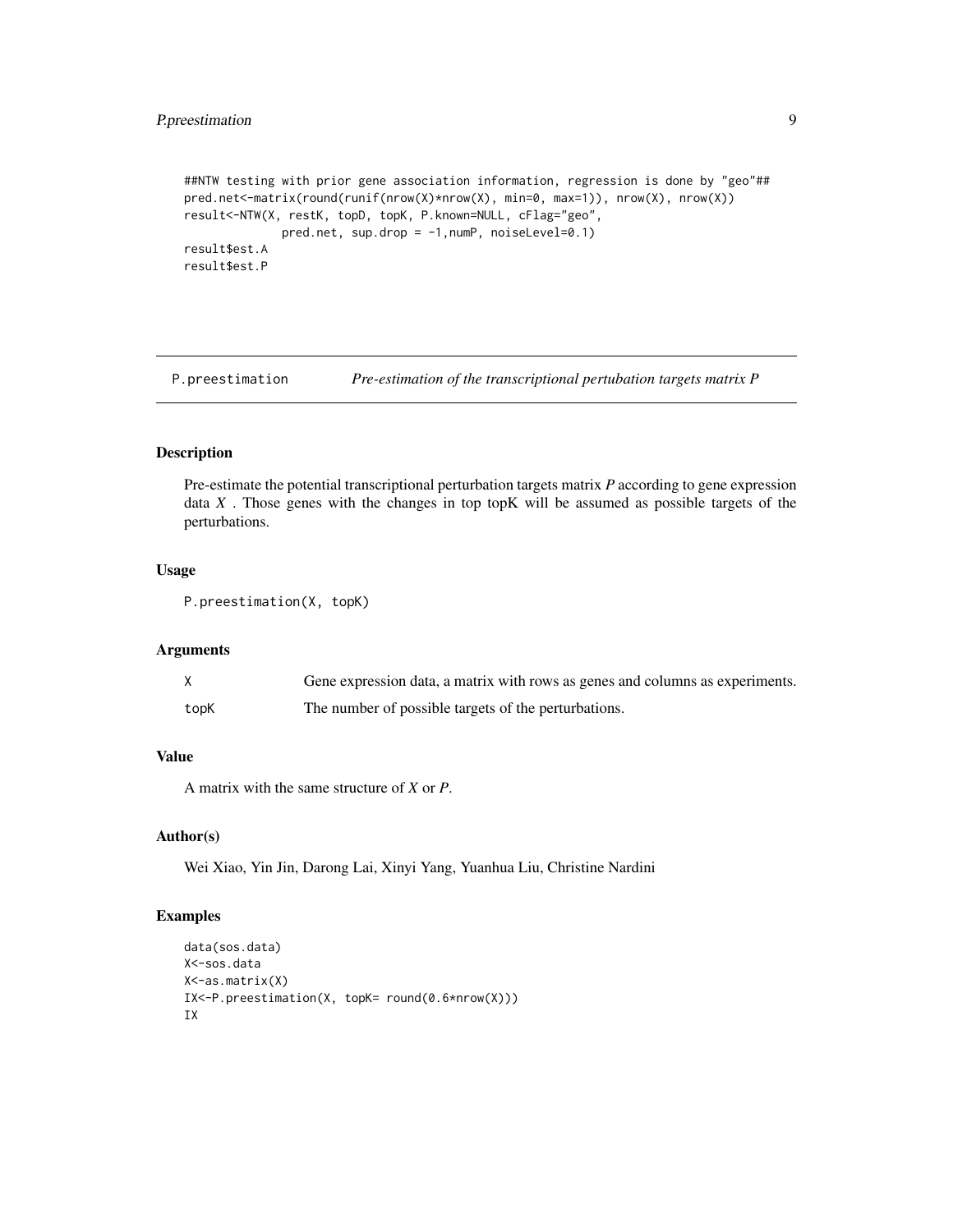#### <span id="page-8-0"></span>P.preestimation 9

```
##NTW testing with prior gene association information, regression is done by "geo"##
pred.net<-matrix(round(runif(nrow(X)*nrow(X), min=0, max=1)), nrow(X), nrow(X))
result<-NTW(X, restK, topD, topK, P.known=NULL, cFlag="geo",
             pred.net, sup.drop = -1,numP, noiseLevel=0.1)
result$est.A
result$est.P
```
P.preestimation *Pre-estimation of the transcriptional pertubation targets matrix P*

#### Description

Pre-estimate the potential transcriptional perturbation targets matrix *P* according to gene expression data *X* . Those genes with the changes in top topK will be assumed as possible targets of the perturbations.

#### Usage

```
P.preestimation(X, topK)
```
#### Arguments

|      | Gene expression data, a matrix with rows as genes and columns as experiments. |
|------|-------------------------------------------------------------------------------|
| topK | The number of possible targets of the perturbations.                          |

#### Value

A matrix with the same structure of *X* or *P*.

#### Author(s)

Wei Xiao, Yin Jin, Darong Lai, Xinyi Yang, Yuanhua Liu, Christine Nardini

#### Examples

```
data(sos.data)
X<-sos.data
X<-as.matrix(X)
IX<-P.preestimation(X, topK= round(0.6*nrow(X)))
IX
```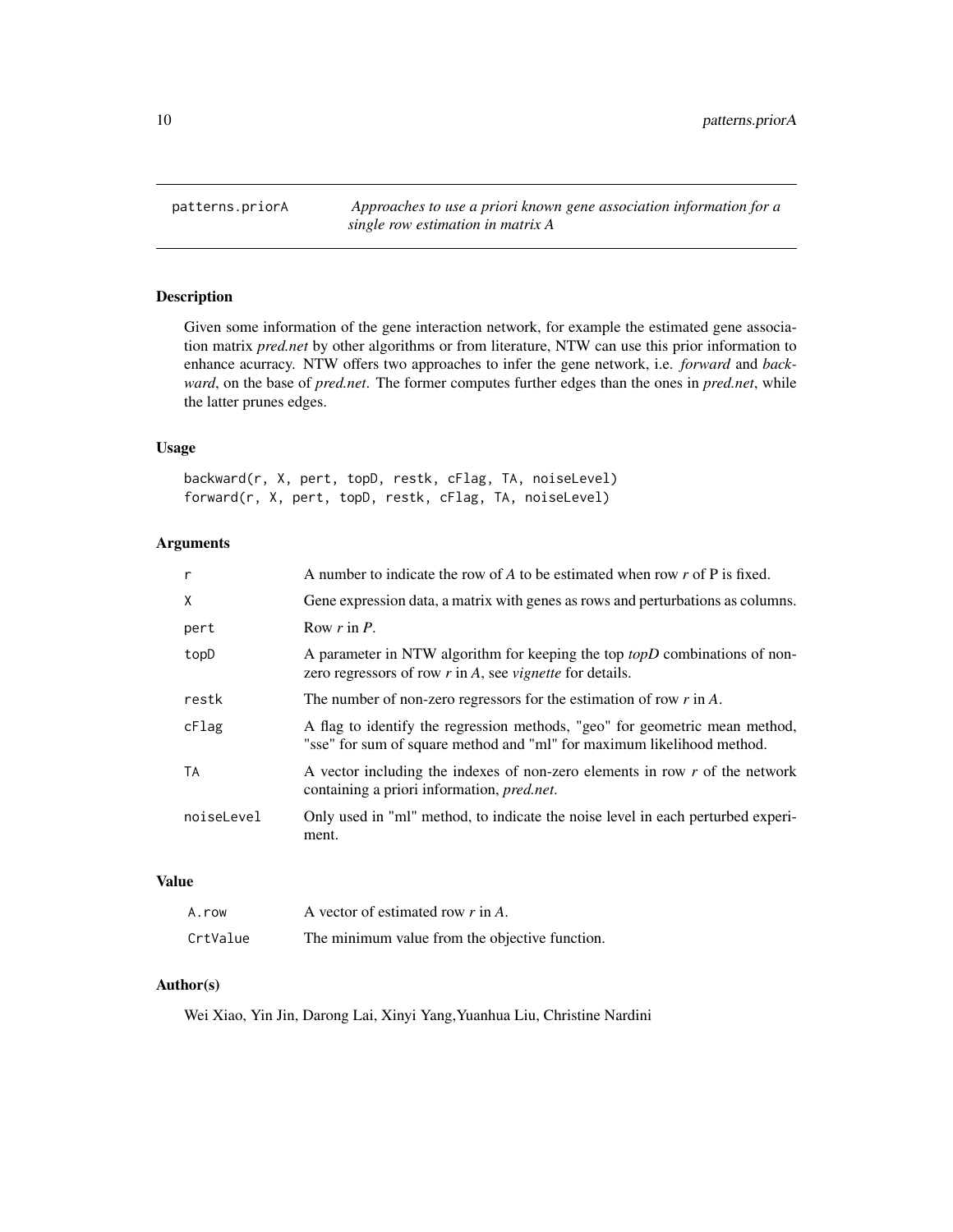<span id="page-9-0"></span>patterns.priorA *Approaches to use a priori known gene association information for a single row estimation in matrix A*

#### Description

Given some information of the gene interaction network, for example the estimated gene association matrix *pred.net* by other algorithms or from literature, NTW can use this prior information to enhance acurracy. NTW offers two approaches to infer the gene network, i.e. *forward* and *backward*, on the base of *pred.net*. The former computes further edges than the ones in *pred.net*, while the latter prunes edges.

#### Usage

backward(r, X, pert, topD, restk, cFlag, TA, noiseLevel) forward(r, X, pert, topD, restk, cFlag, TA, noiseLevel)

#### Arguments

| $\mathsf{r}$ | A number to indicate the row of $A$ to be estimated when row $r$ of $P$ is fixed.                                                                         |
|--------------|-----------------------------------------------------------------------------------------------------------------------------------------------------------|
| X            | Gene expression data, a matrix with genes as rows and perturbations as columns.                                                                           |
| pert         | Row $r$ in $P$ .                                                                                                                                          |
| topD         | A parameter in NTW algorithm for keeping the top <i>topD</i> combinations of non-<br>zero regressors of row $r$ in $A$ , see <i>vignette</i> for details. |
| restk        | The number of non-zero regressors for the estimation of row $r$ in $A$ .                                                                                  |
| cFlag        | A flag to identify the regression methods, "geo" for geometric mean method,<br>"sse" for sum of square method and "ml" for maximum likelihood method.     |
| TA           | A vector including the indexes of non-zero elements in row $r$ of the network<br>containing a priori information, pred.net.                               |
| noiseLevel   | Only used in "ml" method, to indicate the noise level in each perturbed experi-<br>ment.                                                                  |

#### Value

| A.row    | A vector of estimated row $r$ in A.            |
|----------|------------------------------------------------|
| CrtValue | The minimum value from the objective function. |

#### Author(s)

Wei Xiao, Yin Jin, Darong Lai, Xinyi Yang,Yuanhua Liu, Christine Nardini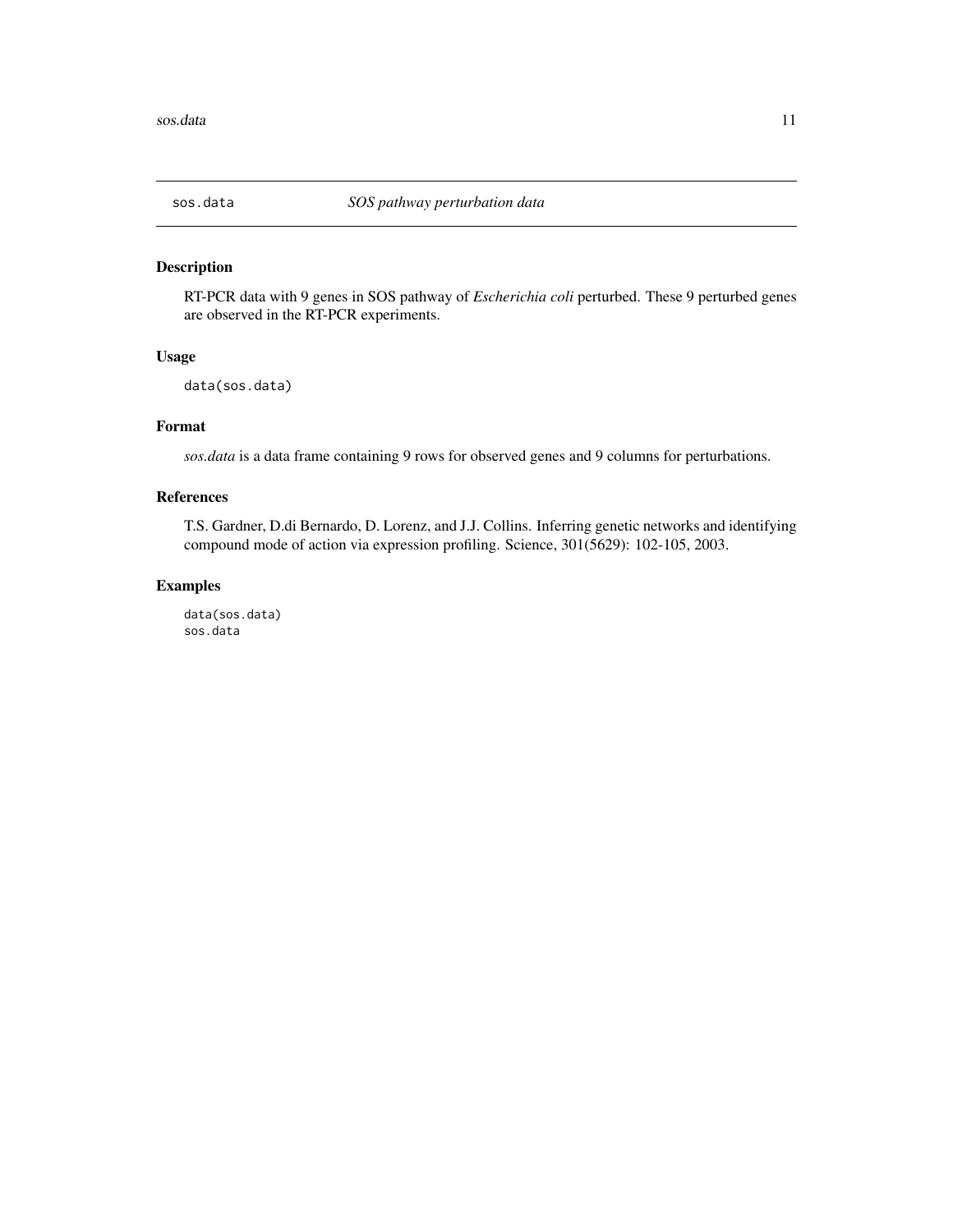<span id="page-10-0"></span>

#### Description

RT-PCR data with 9 genes in SOS pathway of *Escherichia coli* perturbed. These 9 perturbed genes are observed in the RT-PCR experiments.

#### Usage

data(sos.data)

#### Format

*sos.data* is a data frame containing 9 rows for observed genes and 9 columns for perturbations.

#### References

T.S. Gardner, D.di Bernardo, D. Lorenz, and J.J. Collins. Inferring genetic networks and identifying compound mode of action via expression profiling. Science, 301(5629): 102-105, 2003.

#### Examples

data(sos.data) sos.data